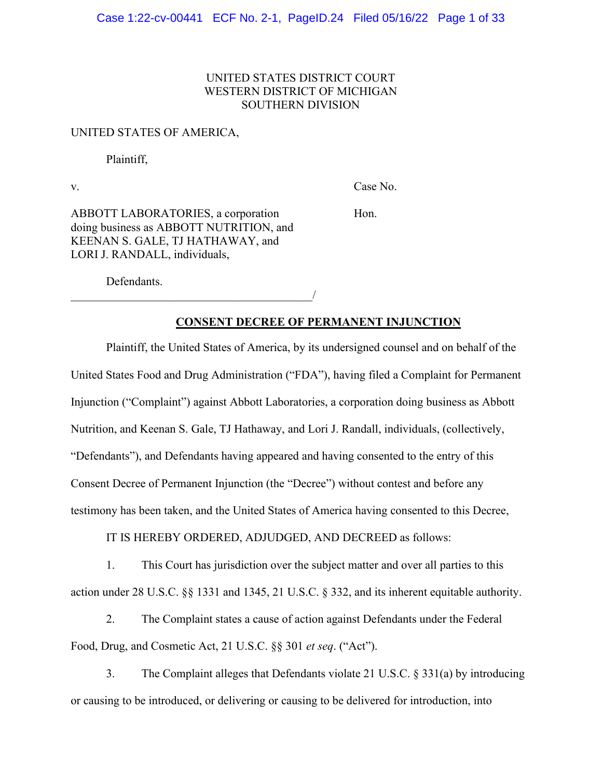# UNITED STATES DISTRICT COURT WESTERN DISTRICT OF MICHIGAN SOUTHERN DIVISION

### UNITED STATES OF AMERICA,

Plaintiff,

v. Case No.

ABBOTT LABORATORIES, a corporation Hon. doing business as ABBOTT NUTRITION, and KEENAN S. GALE, TJ HATHAWAY, and LORI J. RANDALL, individuals,

 $\overline{\phantom{a}}$ 

Defendants.

**CONSENT DECREE OF PERMANENT INJUNCTION**

Plaintiff, the United States of America, by its undersigned counsel and on behalf of the United States Food and Drug Administration ("FDA"), having filed a Complaint for Permanent Injunction ("Complaint") against Abbott Laboratories, a corporation doing business as Abbott Nutrition, and Keenan S. Gale, TJ Hathaway, and Lori J. Randall, individuals, (collectively, "Defendants"), and Defendants having appeared and having consented to the entry of this Consent Decree of Permanent Injunction (the "Decree") without contest and before any testimony has been taken, and the United States of America having consented to this Decree,

IT IS HEREBY ORDERED, ADJUDGED, AND DECREED as follows:

1. This Court has jurisdiction over the subject matter and over all parties to this action under 28 U.S.C. §§ 1331 and 1345, 21 U.S.C. § 332, and its inherent equitable authority.

2. The Complaint states a cause of action against Defendants under the Federal Food, Drug, and Cosmetic Act, 21 U.S.C. §§ 301 *et seq*. ("Act").

3. The Complaint alleges that Defendants violate 21 U.S.C. § 331(a) by introducing or causing to be introduced, or delivering or causing to be delivered for introduction, into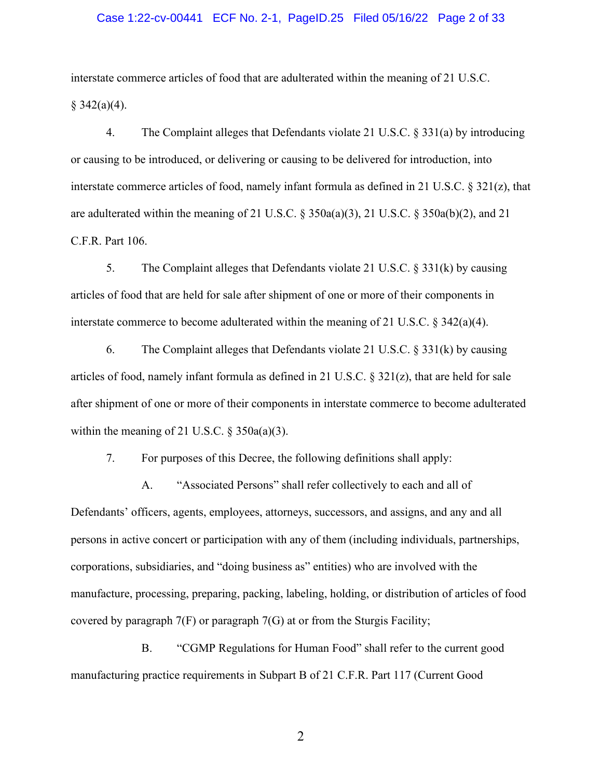### Case 1:22-cv-00441 ECF No. 2-1, PageID.25 Filed 05/16/22 Page 2 of 33

interstate commerce articles of food that are adulterated within the meaning of 21 U.S.C.  $§$  342(a)(4).

4. The Complaint alleges that Defendants violate 21 U.S.C. § 331(a) by introducing or causing to be introduced, or delivering or causing to be delivered for introduction, into interstate commerce articles of food, namely infant formula as defined in 21 U.S.C.  $\S 321(z)$ , that are adulterated within the meaning of 21 U.S.C. § 350a(a)(3), 21 U.S.C. § 350a(b)(2), and 21 C.F.R. Part 106.

5. The Complaint alleges that Defendants violate 21 U.S.C. § 331(k) by causing articles of food that are held for sale after shipment of one or more of their components in interstate commerce to become adulterated within the meaning of 21 U.S.C.  $\S$  342(a)(4).

6. The Complaint alleges that Defendants violate 21 U.S.C.  $\S 331(k)$  by causing articles of food, namely infant formula as defined in 21 U.S.C.  $\S 321(z)$ , that are held for sale after shipment of one or more of their components in interstate commerce to become adulterated within the meaning of 21 U.S.C.  $\S$  350a(a)(3).

7. For purposes of this Decree, the following definitions shall apply:

A. "Associated Persons" shall refer collectively to each and all of Defendants' officers, agents, employees, attorneys, successors, and assigns, and any and all persons in active concert or participation with any of them (including individuals, partnerships, corporations, subsidiaries, and "doing business as" entities) who are involved with the manufacture, processing, preparing, packing, labeling, holding, or distribution of articles of food covered by paragraph 7(F) or paragraph 7(G) at or from the Sturgis Facility;

B. "CGMP Regulations for Human Food" shall refer to the current good manufacturing practice requirements in Subpart B of 21 C.F.R. Part 117 (Current Good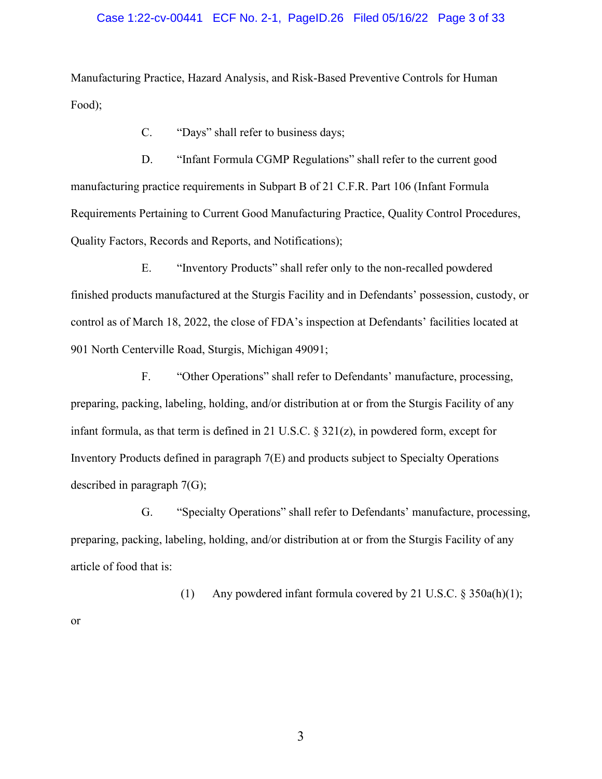### Case 1:22-cv-00441 ECF No. 2-1, PageID.26 Filed 05/16/22 Page 3 of 33

Manufacturing Practice, Hazard Analysis, and Risk-Based Preventive Controls for Human Food);

C. "Days" shall refer to business days;

D. "Infant Formula CGMP Regulations" shall refer to the current good manufacturing practice requirements in Subpart B of 21 C.F.R. Part 106 (Infant Formula Requirements Pertaining to Current Good Manufacturing Practice, Quality Control Procedures, Quality Factors, Records and Reports, and Notifications);

E. "Inventory Products" shall refer only to the non-recalled powdered finished products manufactured at the Sturgis Facility and in Defendants' possession, custody, or control as of March 18, 2022, the close of FDA's inspection at Defendants' facilities located at 901 North Centerville Road, Sturgis, Michigan 49091;

F. "Other Operations" shall refer to Defendants' manufacture, processing, preparing, packing, labeling, holding, and/or distribution at or from the Sturgis Facility of any infant formula, as that term is defined in 21 U.S.C. § 321(z), in powdered form, except for Inventory Products defined in paragraph 7(E) and products subject to Specialty Operations described in paragraph 7(G);

G. "Specialty Operations" shall refer to Defendants' manufacture, processing, preparing, packing, labeling, holding, and/or distribution at or from the Sturgis Facility of any article of food that is:

(1) Any powdered infant formula covered by 21 U.S.C. § 350a(h)(1);

or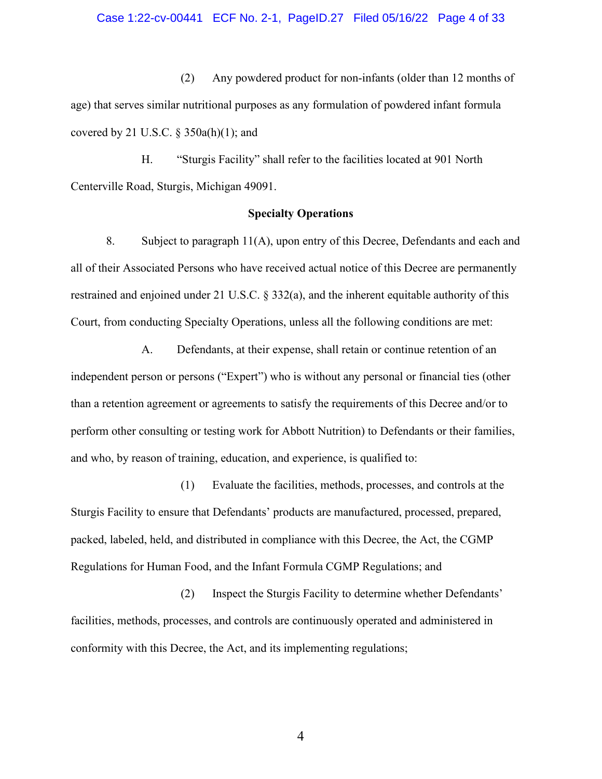(2) Any powdered product for non-infants (older than 12 months of age) that serves similar nutritional purposes as any formulation of powdered infant formula covered by 21 U.S.C.  $\S$  350a(h)(1); and

H. "Sturgis Facility" shall refer to the facilities located at 901 North Centerville Road, Sturgis, Michigan 49091.

## **Specialty Operations**

8. Subject to paragraph 11(A), upon entry of this Decree, Defendants and each and all of their Associated Persons who have received actual notice of this Decree are permanently restrained and enjoined under 21 U.S.C. § 332(a), and the inherent equitable authority of this Court, from conducting Specialty Operations, unless all the following conditions are met:

A. Defendants, at their expense, shall retain or continue retention of an independent person or persons ("Expert") who is without any personal or financial ties (other than a retention agreement or agreements to satisfy the requirements of this Decree and/or to perform other consulting or testing work for Abbott Nutrition) to Defendants or their families, and who, by reason of training, education, and experience, is qualified to:

(1) Evaluate the facilities, methods, processes, and controls at the Sturgis Facility to ensure that Defendants' products are manufactured, processed, prepared, packed, labeled, held, and distributed in compliance with this Decree, the Act, the CGMP Regulations for Human Food, and the Infant Formula CGMP Regulations; and

(2) Inspect the Sturgis Facility to determine whether Defendants' facilities, methods, processes, and controls are continuously operated and administered in conformity with this Decree, the Act, and its implementing regulations;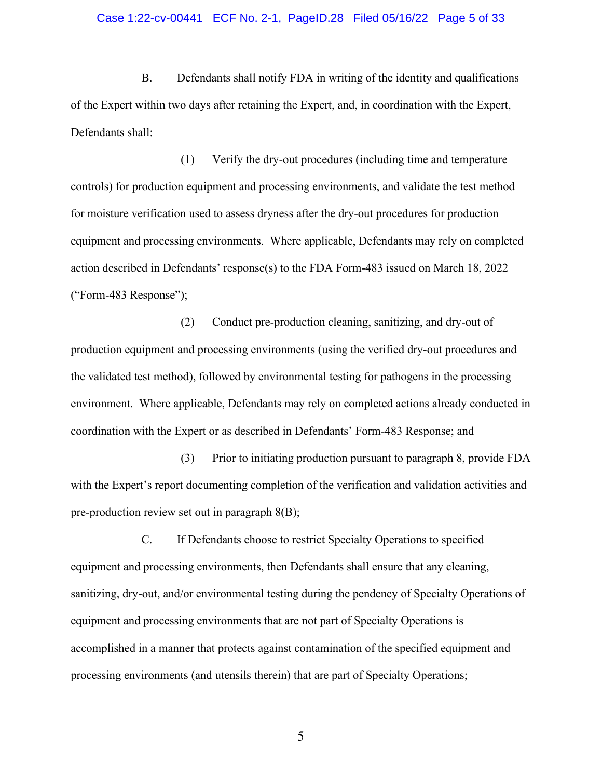#### Case 1:22-cv-00441 ECF No. 2-1, PageID.28 Filed 05/16/22 Page 5 of 33

B. Defendants shall notify FDA in writing of the identity and qualifications of the Expert within two days after retaining the Expert, and, in coordination with the Expert, Defendants shall:

(1) Verify the dry-out procedures (including time and temperature controls) for production equipment and processing environments, and validate the test method for moisture verification used to assess dryness after the dry-out procedures for production equipment and processing environments. Where applicable, Defendants may rely on completed action described in Defendants' response(s) to the FDA Form-483 issued on March 18, 2022 ("Form-483 Response");

(2) Conduct pre-production cleaning, sanitizing, and dry-out of production equipment and processing environments (using the verified dry-out procedures and the validated test method), followed by environmental testing for pathogens in the processing environment. Where applicable, Defendants may rely on completed actions already conducted in coordination with the Expert or as described in Defendants' Form-483 Response; and

(3) Prior to initiating production pursuant to paragraph 8, provide FDA with the Expert's report documenting completion of the verification and validation activities and pre-production review set out in paragraph 8(B);

C. If Defendants choose to restrict Specialty Operations to specified equipment and processing environments, then Defendants shall ensure that any cleaning, sanitizing, dry-out, and/or environmental testing during the pendency of Specialty Operations of equipment and processing environments that are not part of Specialty Operations is accomplished in a manner that protects against contamination of the specified equipment and processing environments (and utensils therein) that are part of Specialty Operations;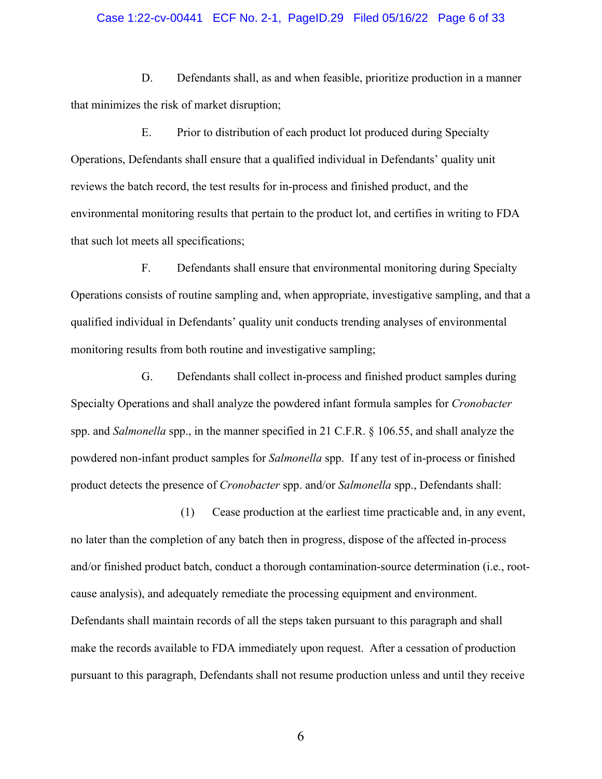### Case 1:22-cv-00441 ECF No. 2-1, PageID.29 Filed 05/16/22 Page 6 of 33

D. Defendants shall, as and when feasible, prioritize production in a manner that minimizes the risk of market disruption;

E. Prior to distribution of each product lot produced during Specialty Operations, Defendants shall ensure that a qualified individual in Defendants' quality unit reviews the batch record, the test results for in-process and finished product, and the environmental monitoring results that pertain to the product lot, and certifies in writing to FDA that such lot meets all specifications;

F. Defendants shall ensure that environmental monitoring during Specialty Operations consists of routine sampling and, when appropriate, investigative sampling, and that a qualified individual in Defendants' quality unit conducts trending analyses of environmental monitoring results from both routine and investigative sampling;

G. Defendants shall collect in-process and finished product samples during Specialty Operations and shall analyze the powdered infant formula samples for *Cronobacter* spp. and *Salmonella* spp., in the manner specified in 21 C.F.R. § 106.55, and shall analyze the powdered non-infant product samples for *Salmonella* spp. If any test of in-process or finished product detects the presence of *Cronobacter* spp. and/or *Salmonella* spp., Defendants shall:

(1) Cease production at the earliest time practicable and, in any event, no later than the completion of any batch then in progress, dispose of the affected in-process and/or finished product batch, conduct a thorough contamination-source determination (i.e., rootcause analysis), and adequately remediate the processing equipment and environment. Defendants shall maintain records of all the steps taken pursuant to this paragraph and shall make the records available to FDA immediately upon request. After a cessation of production pursuant to this paragraph, Defendants shall not resume production unless and until they receive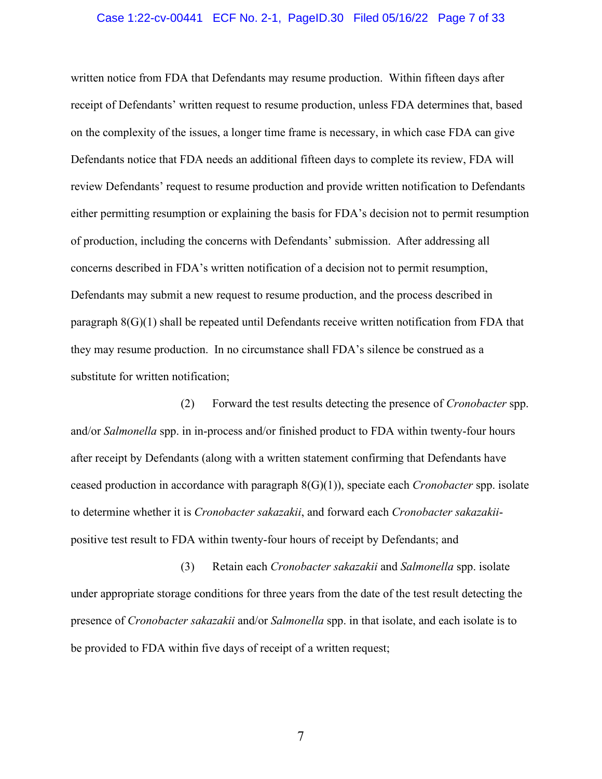### Case 1:22-cv-00441 ECF No. 2-1, PageID.30 Filed 05/16/22 Page 7 of 33

written notice from FDA that Defendants may resume production. Within fifteen days after receipt of Defendants' written request to resume production, unless FDA determines that, based on the complexity of the issues, a longer time frame is necessary, in which case FDA can give Defendants notice that FDA needs an additional fifteen days to complete its review, FDA will review Defendants' request to resume production and provide written notification to Defendants either permitting resumption or explaining the basis for FDA's decision not to permit resumption of production, including the concerns with Defendants' submission. After addressing all concerns described in FDA's written notification of a decision not to permit resumption, Defendants may submit a new request to resume production, and the process described in paragraph 8(G)(1) shall be repeated until Defendants receive written notification from FDA that they may resume production. In no circumstance shall FDA's silence be construed as a substitute for written notification;

(2) Forward the test results detecting the presence of *Cronobacter* spp. and/or *Salmonella* spp. in in-process and/or finished product to FDA within twenty-four hours after receipt by Defendants (along with a written statement confirming that Defendants have ceased production in accordance with paragraph 8(G)(1)), speciate each *Cronobacter* spp. isolate to determine whether it is *Cronobacter sakazakii*, and forward each *Cronobacter sakazakii*positive test result to FDA within twenty-four hours of receipt by Defendants; and

(3) Retain each *Cronobacter sakazakii* and *Salmonella* spp. isolate under appropriate storage conditions for three years from the date of the test result detecting the presence of *Cronobacter sakazakii* and/or *Salmonella* spp. in that isolate, and each isolate is to be provided to FDA within five days of receipt of a written request;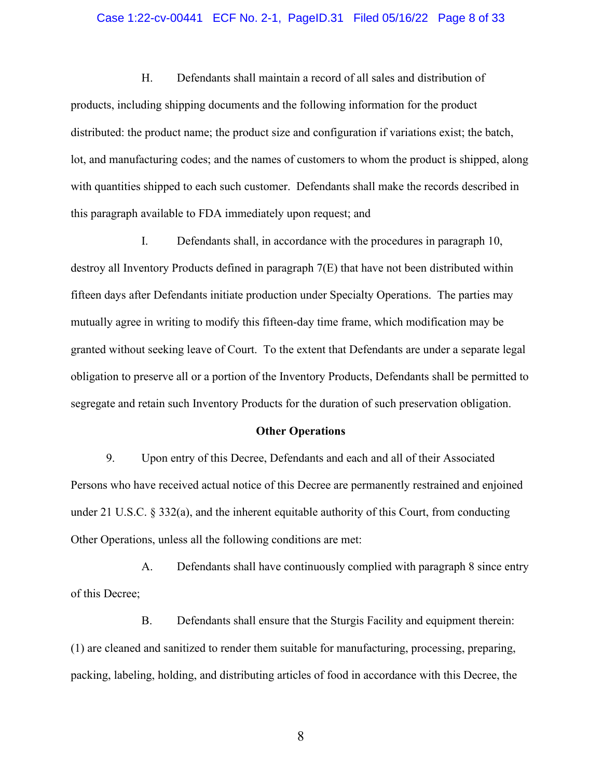### Case 1:22-cv-00441 ECF No. 2-1, PageID.31 Filed 05/16/22 Page 8 of 33

H. Defendants shall maintain a record of all sales and distribution of products, including shipping documents and the following information for the product distributed: the product name; the product size and configuration if variations exist; the batch, lot, and manufacturing codes; and the names of customers to whom the product is shipped, along with quantities shipped to each such customer. Defendants shall make the records described in this paragraph available to FDA immediately upon request; and

I. Defendants shall, in accordance with the procedures in paragraph 10, destroy all Inventory Products defined in paragraph 7(E) that have not been distributed within fifteen days after Defendants initiate production under Specialty Operations. The parties may mutually agree in writing to modify this fifteen-day time frame, which modification may be granted without seeking leave of Court. To the extent that Defendants are under a separate legal obligation to preserve all or a portion of the Inventory Products, Defendants shall be permitted to segregate and retain such Inventory Products for the duration of such preservation obligation.

#### **Other Operations**

9. Upon entry of this Decree, Defendants and each and all of their Associated Persons who have received actual notice of this Decree are permanently restrained and enjoined under 21 U.S.C.  $\S 332(a)$ , and the inherent equitable authority of this Court, from conducting Other Operations, unless all the following conditions are met:

A. Defendants shall have continuously complied with paragraph 8 since entry of this Decree;

B. Defendants shall ensure that the Sturgis Facility and equipment therein: (1) are cleaned and sanitized to render them suitable for manufacturing, processing, preparing, packing, labeling, holding, and distributing articles of food in accordance with this Decree, the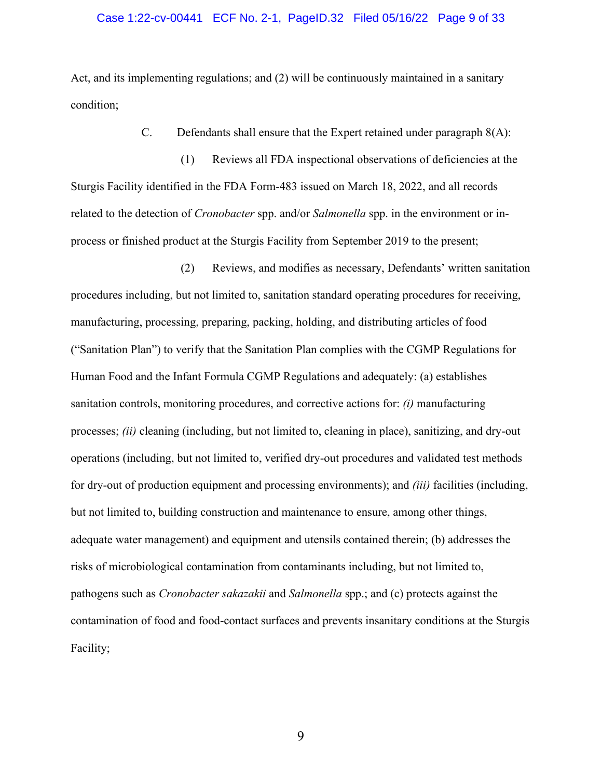### Case 1:22-cv-00441 ECF No. 2-1, PageID.32 Filed 05/16/22 Page 9 of 33

Act, and its implementing regulations; and (2) will be continuously maintained in a sanitary condition;

C. Defendants shall ensure that the Expert retained under paragraph 8(A):

(1) Reviews all FDA inspectional observations of deficiencies at the Sturgis Facility identified in the FDA Form-483 issued on March 18, 2022, and all records related to the detection of *Cronobacter* spp. and/or *Salmonella* spp. in the environment or inprocess or finished product at the Sturgis Facility from September 2019 to the present;

(2) Reviews, and modifies as necessary, Defendants' written sanitation procedures including, but not limited to, sanitation standard operating procedures for receiving, manufacturing, processing, preparing, packing, holding, and distributing articles of food ("Sanitation Plan") to verify that the Sanitation Plan complies with the CGMP Regulations for Human Food and the Infant Formula CGMP Regulations and adequately: (a) establishes sanitation controls, monitoring procedures, and corrective actions for: *(i)* manufacturing processes; *(ii)* cleaning (including, but not limited to, cleaning in place), sanitizing, and dry-out operations (including, but not limited to, verified dry-out procedures and validated test methods for dry-out of production equipment and processing environments); and *(iii)* facilities (including, but not limited to, building construction and maintenance to ensure, among other things, adequate water management) and equipment and utensils contained therein; (b) addresses the risks of microbiological contamination from contaminants including, but not limited to, pathogens such as *Cronobacter sakazakii* and *Salmonella* spp.; and (c) protects against the contamination of food and food-contact surfaces and prevents insanitary conditions at the Sturgis Facility;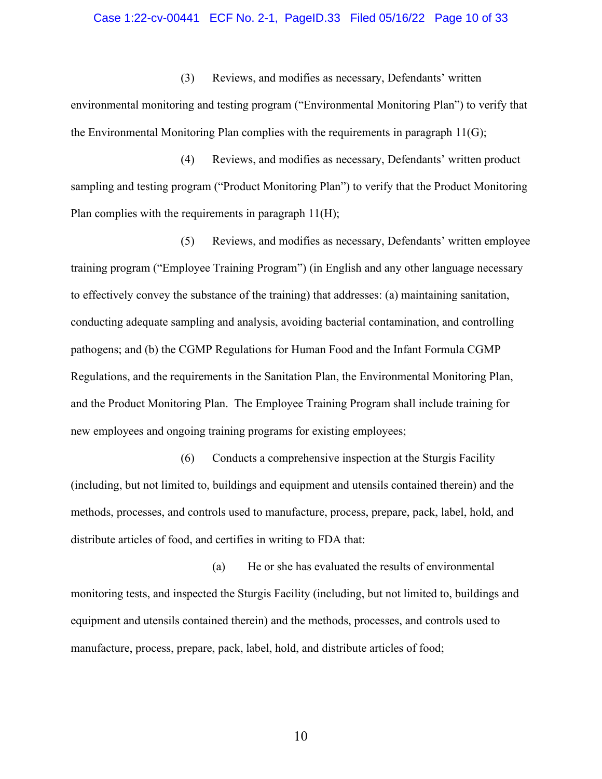#### Case 1:22-cv-00441 ECF No. 2-1, PageID.33 Filed 05/16/22 Page 10 of 33

(3) Reviews, and modifies as necessary, Defendants' written environmental monitoring and testing program ("Environmental Monitoring Plan") to verify that the Environmental Monitoring Plan complies with the requirements in paragraph 11(G);

(4) Reviews, and modifies as necessary, Defendants' written product sampling and testing program ("Product Monitoring Plan") to verify that the Product Monitoring Plan complies with the requirements in paragraph 11(H);

(5) Reviews, and modifies as necessary, Defendants' written employee training program ("Employee Training Program") (in English and any other language necessary to effectively convey the substance of the training) that addresses: (a) maintaining sanitation, conducting adequate sampling and analysis, avoiding bacterial contamination, and controlling pathogens; and (b) the CGMP Regulations for Human Food and the Infant Formula CGMP Regulations, and the requirements in the Sanitation Plan, the Environmental Monitoring Plan, and the Product Monitoring Plan. The Employee Training Program shall include training for new employees and ongoing training programs for existing employees;

(6) Conducts a comprehensive inspection at the Sturgis Facility (including, but not limited to, buildings and equipment and utensils contained therein) and the methods, processes, and controls used to manufacture, process, prepare, pack, label, hold, and distribute articles of food, and certifies in writing to FDA that:

(a) He or she has evaluated the results of environmental monitoring tests, and inspected the Sturgis Facility (including, but not limited to, buildings and equipment and utensils contained therein) and the methods, processes, and controls used to manufacture, process, prepare, pack, label, hold, and distribute articles of food;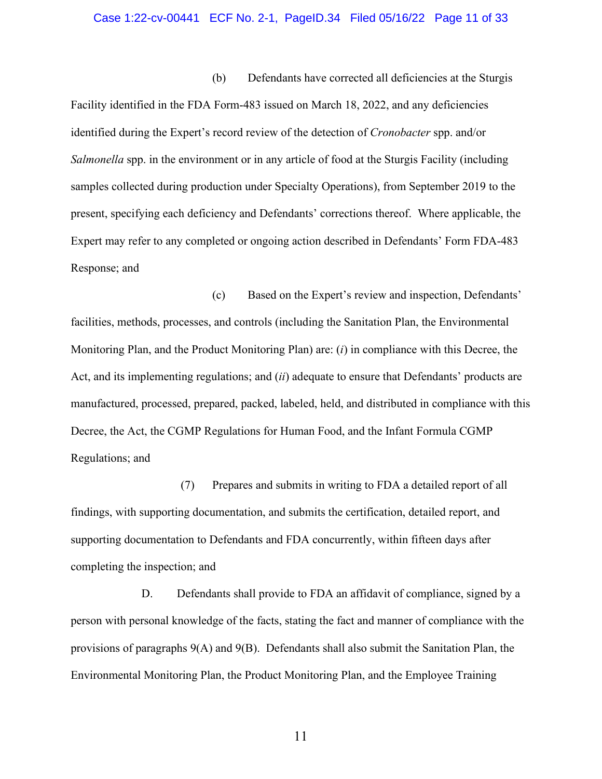#### Case 1:22-cv-00441 ECF No. 2-1, PageID.34 Filed 05/16/22 Page 11 of 33

(b) Defendants have corrected all deficiencies at the Sturgis Facility identified in the FDA Form-483 issued on March 18, 2022, and any deficiencies identified during the Expert's record review of the detection of *Cronobacter* spp. and/or *Salmonella* spp. in the environment or in any article of food at the Sturgis Facility (including samples collected during production under Specialty Operations), from September 2019 to the present, specifying each deficiency and Defendants' corrections thereof. Where applicable, the Expert may refer to any completed or ongoing action described in Defendants' Form FDA-483 Response; and

(c) Based on the Expert's review and inspection, Defendants' facilities, methods, processes, and controls (including the Sanitation Plan, the Environmental Monitoring Plan, and the Product Monitoring Plan) are: (*i*) in compliance with this Decree, the Act, and its implementing regulations; and (*ii*) adequate to ensure that Defendants' products are manufactured, processed, prepared, packed, labeled, held, and distributed in compliance with this Decree, the Act, the CGMP Regulations for Human Food, and the Infant Formula CGMP Regulations; and

(7) Prepares and submits in writing to FDA a detailed report of all findings, with supporting documentation, and submits the certification, detailed report, and supporting documentation to Defendants and FDA concurrently, within fifteen days after completing the inspection; and

D. Defendants shall provide to FDA an affidavit of compliance, signed by a person with personal knowledge of the facts, stating the fact and manner of compliance with the provisions of paragraphs 9(A) and 9(B). Defendants shall also submit the Sanitation Plan, the Environmental Monitoring Plan, the Product Monitoring Plan, and the Employee Training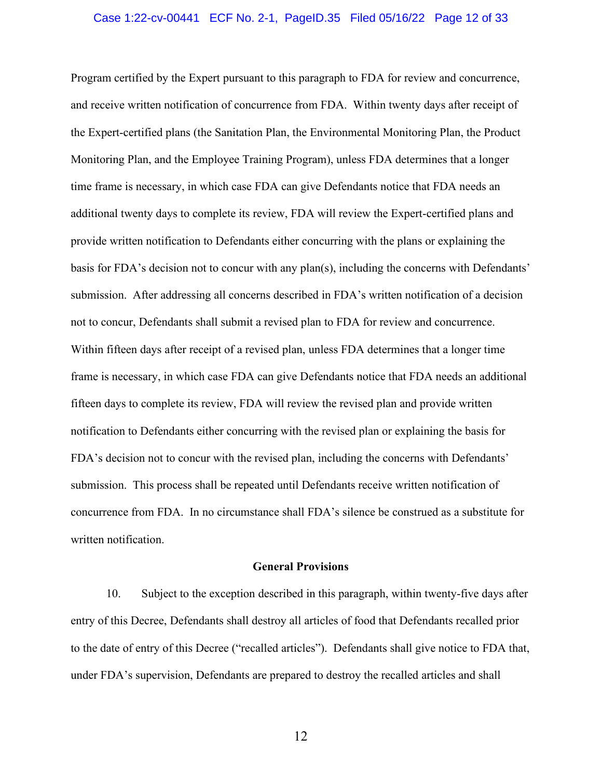#### Case 1:22-cv-00441 ECF No. 2-1, PageID.35 Filed 05/16/22 Page 12 of 33

Program certified by the Expert pursuant to this paragraph to FDA for review and concurrence, and receive written notification of concurrence from FDA. Within twenty days after receipt of the Expert-certified plans (the Sanitation Plan, the Environmental Monitoring Plan, the Product Monitoring Plan, and the Employee Training Program), unless FDA determines that a longer time frame is necessary, in which case FDA can give Defendants notice that FDA needs an additional twenty days to complete its review, FDA will review the Expert-certified plans and provide written notification to Defendants either concurring with the plans or explaining the basis for FDA's decision not to concur with any plan(s), including the concerns with Defendants' submission. After addressing all concerns described in FDA's written notification of a decision not to concur, Defendants shall submit a revised plan to FDA for review and concurrence. Within fifteen days after receipt of a revised plan, unless FDA determines that a longer time frame is necessary, in which case FDA can give Defendants notice that FDA needs an additional fifteen days to complete its review, FDA will review the revised plan and provide written notification to Defendants either concurring with the revised plan or explaining the basis for FDA's decision not to concur with the revised plan, including the concerns with Defendants' submission. This process shall be repeated until Defendants receive written notification of concurrence from FDA. In no circumstance shall FDA's silence be construed as a substitute for written notification.

#### **General Provisions**

10. Subject to the exception described in this paragraph, within twenty-five days after entry of this Decree, Defendants shall destroy all articles of food that Defendants recalled prior to the date of entry of this Decree ("recalled articles"). Defendants shall give notice to FDA that, under FDA's supervision, Defendants are prepared to destroy the recalled articles and shall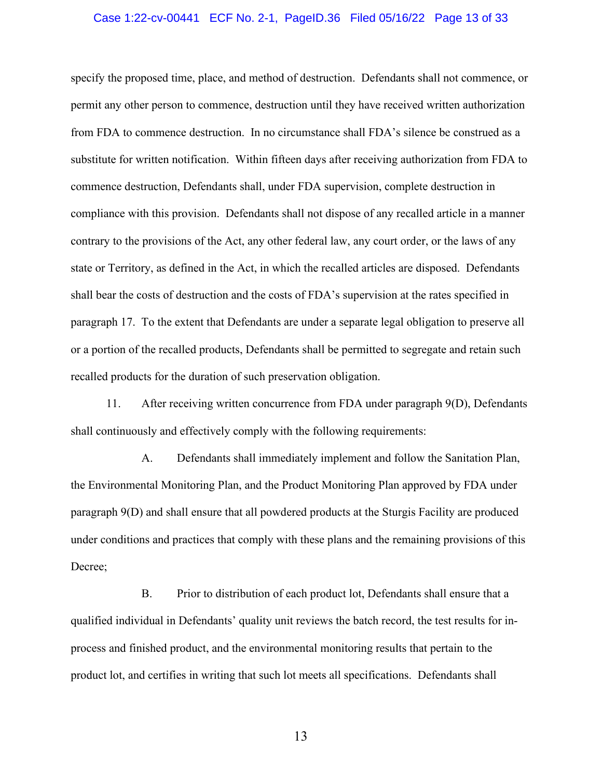### Case 1:22-cv-00441 ECF No. 2-1, PageID.36 Filed 05/16/22 Page 13 of 33

specify the proposed time, place, and method of destruction. Defendants shall not commence, or permit any other person to commence, destruction until they have received written authorization from FDA to commence destruction. In no circumstance shall FDA's silence be construed as a substitute for written notification. Within fifteen days after receiving authorization from FDA to commence destruction, Defendants shall, under FDA supervision, complete destruction in compliance with this provision. Defendants shall not dispose of any recalled article in a manner contrary to the provisions of the Act, any other federal law, any court order, or the laws of any state or Territory, as defined in the Act, in which the recalled articles are disposed. Defendants shall bear the costs of destruction and the costs of FDA's supervision at the rates specified in paragraph 17. To the extent that Defendants are under a separate legal obligation to preserve all or a portion of the recalled products, Defendants shall be permitted to segregate and retain such recalled products for the duration of such preservation obligation.

11. After receiving written concurrence from FDA under paragraph 9(D), Defendants shall continuously and effectively comply with the following requirements:

A. Defendants shall immediately implement and follow the Sanitation Plan, the Environmental Monitoring Plan, and the Product Monitoring Plan approved by FDA under paragraph 9(D) and shall ensure that all powdered products at the Sturgis Facility are produced under conditions and practices that comply with these plans and the remaining provisions of this Decree;

B. Prior to distribution of each product lot, Defendants shall ensure that a qualified individual in Defendants' quality unit reviews the batch record, the test results for inprocess and finished product, and the environmental monitoring results that pertain to the product lot, and certifies in writing that such lot meets all specifications. Defendants shall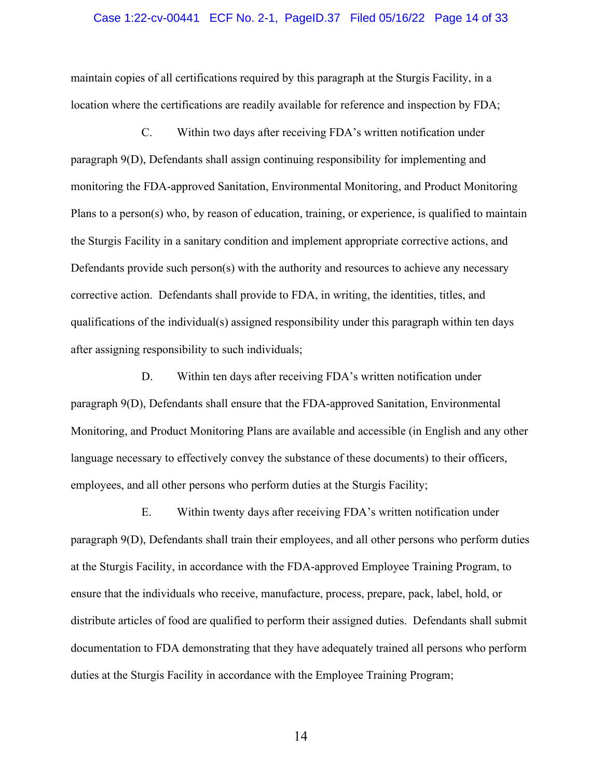#### Case 1:22-cv-00441 ECF No. 2-1, PageID.37 Filed 05/16/22 Page 14 of 33

maintain copies of all certifications required by this paragraph at the Sturgis Facility, in a location where the certifications are readily available for reference and inspection by FDA;

C. Within two days after receiving FDA's written notification under paragraph 9(D), Defendants shall assign continuing responsibility for implementing and monitoring the FDA-approved Sanitation, Environmental Monitoring, and Product Monitoring Plans to a person(s) who, by reason of education, training, or experience, is qualified to maintain the Sturgis Facility in a sanitary condition and implement appropriate corrective actions, and Defendants provide such person(s) with the authority and resources to achieve any necessary corrective action. Defendants shall provide to FDA, in writing, the identities, titles, and qualifications of the individual(s) assigned responsibility under this paragraph within ten days after assigning responsibility to such individuals;

D. Within ten days after receiving FDA's written notification under paragraph 9(D), Defendants shall ensure that the FDA-approved Sanitation, Environmental Monitoring, and Product Monitoring Plans are available and accessible (in English and any other language necessary to effectively convey the substance of these documents) to their officers, employees, and all other persons who perform duties at the Sturgis Facility;

E. Within twenty days after receiving FDA's written notification under paragraph 9(D), Defendants shall train their employees, and all other persons who perform duties at the Sturgis Facility, in accordance with the FDA-approved Employee Training Program, to ensure that the individuals who receive, manufacture, process, prepare, pack, label, hold, or distribute articles of food are qualified to perform their assigned duties. Defendants shall submit documentation to FDA demonstrating that they have adequately trained all persons who perform duties at the Sturgis Facility in accordance with the Employee Training Program;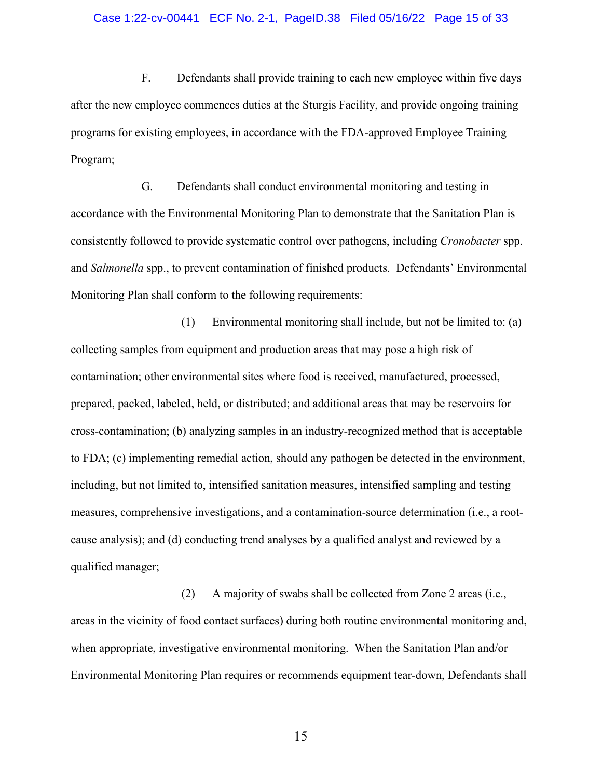#### Case 1:22-cv-00441 ECF No. 2-1, PageID.38 Filed 05/16/22 Page 15 of 33

F. Defendants shall provide training to each new employee within five days after the new employee commences duties at the Sturgis Facility, and provide ongoing training programs for existing employees, in accordance with the FDA-approved Employee Training Program;

G. Defendants shall conduct environmental monitoring and testing in accordance with the Environmental Monitoring Plan to demonstrate that the Sanitation Plan is consistently followed to provide systematic control over pathogens, including *Cronobacter* spp. and *Salmonella* spp., to prevent contamination of finished products. Defendants' Environmental Monitoring Plan shall conform to the following requirements:

(1) Environmental monitoring shall include, but not be limited to: (a) collecting samples from equipment and production areas that may pose a high risk of contamination; other environmental sites where food is received, manufactured, processed, prepared, packed, labeled, held, or distributed; and additional areas that may be reservoirs for cross-contamination; (b) analyzing samples in an industry-recognized method that is acceptable to FDA; (c) implementing remedial action, should any pathogen be detected in the environment, including, but not limited to, intensified sanitation measures, intensified sampling and testing measures, comprehensive investigations, and a contamination-source determination (i.e., a rootcause analysis); and (d) conducting trend analyses by a qualified analyst and reviewed by a qualified manager;

(2) A majority of swabs shall be collected from Zone 2 areas (i.e., areas in the vicinity of food contact surfaces) during both routine environmental monitoring and, when appropriate, investigative environmental monitoring. When the Sanitation Plan and/or Environmental Monitoring Plan requires or recommends equipment tear-down, Defendants shall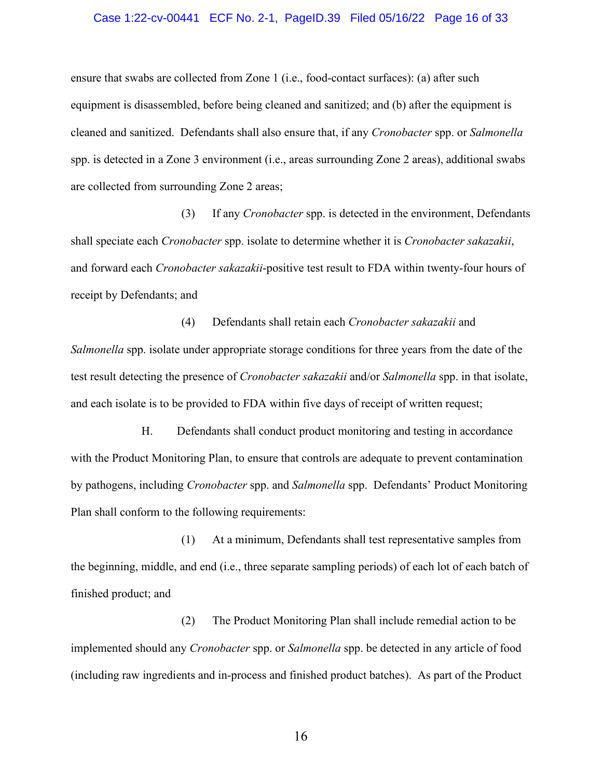### Case 1:22-cv-00441 ECF No. 2-1, PageID.39 Filed 05/16/22 Page 16 of 33

ensure that swabs are collected from Zone 1 (i.e., food-contact surfaces): (a) after such equipment is disassembled, before being cleaned and sanitized; and (b) after the equipment is cleaned and sanitized. Defendants shall also ensure that, if any *Cronobacter* spp. or *Salmonella* spp. is detected in a Zone 3 environment (i.e., areas surrounding Zone 2 areas), additional swabs are collected from surrounding Zone 2 areas;

(3) If any *Cronobacter* spp. is detected in the environment, Defendants shall speciate each *Cronobacter* spp. isolate to determine whether it is *Cronobacter sakazakii*, and forward each *Cronobacter sakazakii*-positive test result to FDA within twenty-four hours of receipt by Defendants; and

(4) Defendants shall retain each *Cronobacter sakazakii* and *Salmonella* spp. isolate under appropriate storage conditions for three years from the date of the test result detecting the presence of *Cronobacter sakazakii* and/or *Salmonella* spp. in that isolate, and each isolate is to be provided to FDA within five days of receipt of written request;

H. Defendants shall conduct product monitoring and testing in accordance with the Product Monitoring Plan, to ensure that controls are adequate to prevent contamination by pathogens, including *Cronobacter* spp. and *Salmonella* spp. Defendants' Product Monitoring Plan shall conform to the following requirements:

(1) At a minimum, Defendants shall test representative samples from the beginning, middle, and end (i.e., three separate sampling periods) of each lot of each batch of finished product; and

(2) The Product Monitoring Plan shall include remedial action to be implemented should any *Cronobacter* spp. or *Salmonella* spp. be detected in any article of food (including raw ingredients and in-process and finished product batches). As part of the Product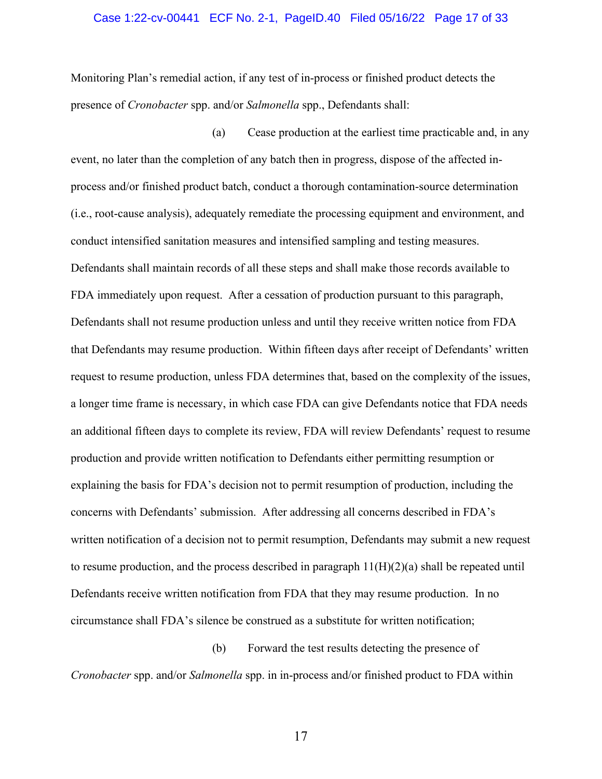### Case 1:22-cv-00441 ECF No. 2-1, PageID.40 Filed 05/16/22 Page 17 of 33

Monitoring Plan's remedial action, if any test of in-process or finished product detects the presence of *Cronobacter* spp. and/or *Salmonella* spp., Defendants shall:

(a) Cease production at the earliest time practicable and, in any event, no later than the completion of any batch then in progress, dispose of the affected inprocess and/or finished product batch, conduct a thorough contamination-source determination (i.e., root-cause analysis), adequately remediate the processing equipment and environment, and conduct intensified sanitation measures and intensified sampling and testing measures. Defendants shall maintain records of all these steps and shall make those records available to FDA immediately upon request. After a cessation of production pursuant to this paragraph, Defendants shall not resume production unless and until they receive written notice from FDA that Defendants may resume production. Within fifteen days after receipt of Defendants' written request to resume production, unless FDA determines that, based on the complexity of the issues, a longer time frame is necessary, in which case FDA can give Defendants notice that FDA needs an additional fifteen days to complete its review, FDA will review Defendants' request to resume production and provide written notification to Defendants either permitting resumption or explaining the basis for FDA's decision not to permit resumption of production, including the concerns with Defendants' submission. After addressing all concerns described in FDA's written notification of a decision not to permit resumption, Defendants may submit a new request to resume production, and the process described in paragraph  $11(H)(2)(a)$  shall be repeated until Defendants receive written notification from FDA that they may resume production. In no circumstance shall FDA's silence be construed as a substitute for written notification;

(b) Forward the test results detecting the presence of *Cronobacter* spp. and/or *Salmonella* spp. in in-process and/or finished product to FDA within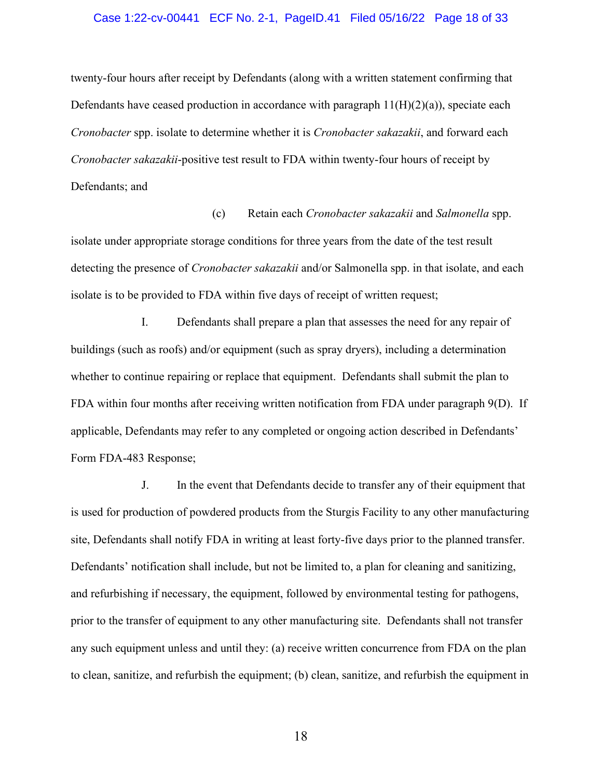### Case 1:22-cv-00441 ECF No. 2-1, PageID.41 Filed 05/16/22 Page 18 of 33

twenty-four hours after receipt by Defendants (along with a written statement confirming that Defendants have ceased production in accordance with paragraph  $11(H)(2)(a)$ , speciate each *Cronobacter* spp. isolate to determine whether it is *Cronobacter sakazakii*, and forward each *Cronobacter sakazakii*-positive test result to FDA within twenty-four hours of receipt by Defendants; and

(c) Retain each *Cronobacter sakazakii* and *Salmonella* spp. isolate under appropriate storage conditions for three years from the date of the test result detecting the presence of *Cronobacter sakazakii* and/or Salmonella spp. in that isolate, and each isolate is to be provided to FDA within five days of receipt of written request;

I. Defendants shall prepare a plan that assesses the need for any repair of buildings (such as roofs) and/or equipment (such as spray dryers), including a determination whether to continue repairing or replace that equipment. Defendants shall submit the plan to FDA within four months after receiving written notification from FDA under paragraph 9(D). If applicable, Defendants may refer to any completed or ongoing action described in Defendants' Form FDA-483 Response;

J. In the event that Defendants decide to transfer any of their equipment that is used for production of powdered products from the Sturgis Facility to any other manufacturing site, Defendants shall notify FDA in writing at least forty-five days prior to the planned transfer. Defendants' notification shall include, but not be limited to, a plan for cleaning and sanitizing, and refurbishing if necessary, the equipment, followed by environmental testing for pathogens, prior to the transfer of equipment to any other manufacturing site. Defendants shall not transfer any such equipment unless and until they: (a) receive written concurrence from FDA on the plan to clean, sanitize, and refurbish the equipment; (b) clean, sanitize, and refurbish the equipment in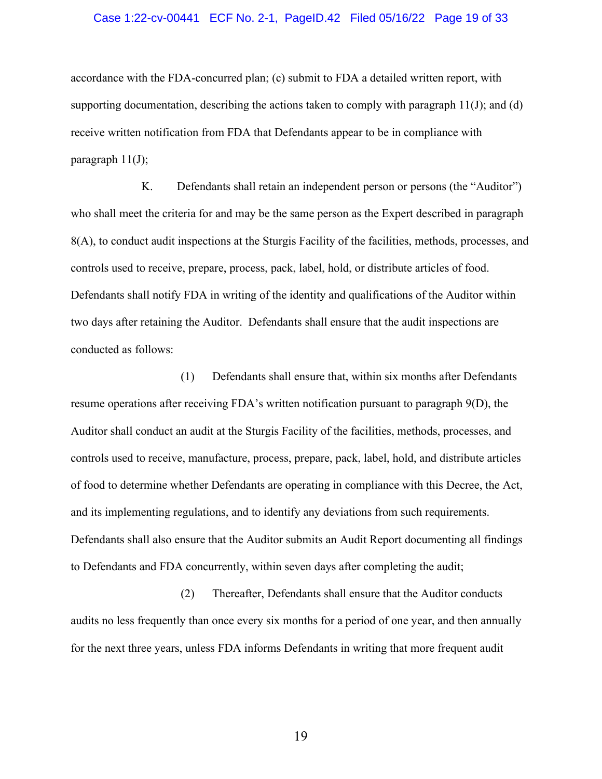#### Case 1:22-cv-00441 ECF No. 2-1, PageID.42 Filed 05/16/22 Page 19 of 33

accordance with the FDA-concurred plan; (c) submit to FDA a detailed written report, with supporting documentation, describing the actions taken to comply with paragraph  $11(J)$ ; and (d) receive written notification from FDA that Defendants appear to be in compliance with paragraph 11(J);

K. Defendants shall retain an independent person or persons (the "Auditor") who shall meet the criteria for and may be the same person as the Expert described in paragraph 8(A), to conduct audit inspections at the Sturgis Facility of the facilities, methods, processes, and controls used to receive, prepare, process, pack, label, hold, or distribute articles of food. Defendants shall notify FDA in writing of the identity and qualifications of the Auditor within two days after retaining the Auditor. Defendants shall ensure that the audit inspections are conducted as follows:

(1) Defendants shall ensure that, within six months after Defendants resume operations after receiving FDA's written notification pursuant to paragraph 9(D), the Auditor shall conduct an audit at the Sturgis Facility of the facilities, methods, processes, and controls used to receive, manufacture, process, prepare, pack, label, hold, and distribute articles of food to determine whether Defendants are operating in compliance with this Decree, the Act, and its implementing regulations, and to identify any deviations from such requirements. Defendants shall also ensure that the Auditor submits an Audit Report documenting all findings to Defendants and FDA concurrently, within seven days after completing the audit;

(2) Thereafter, Defendants shall ensure that the Auditor conducts audits no less frequently than once every six months for a period of one year, and then annually for the next three years, unless FDA informs Defendants in writing that more frequent audit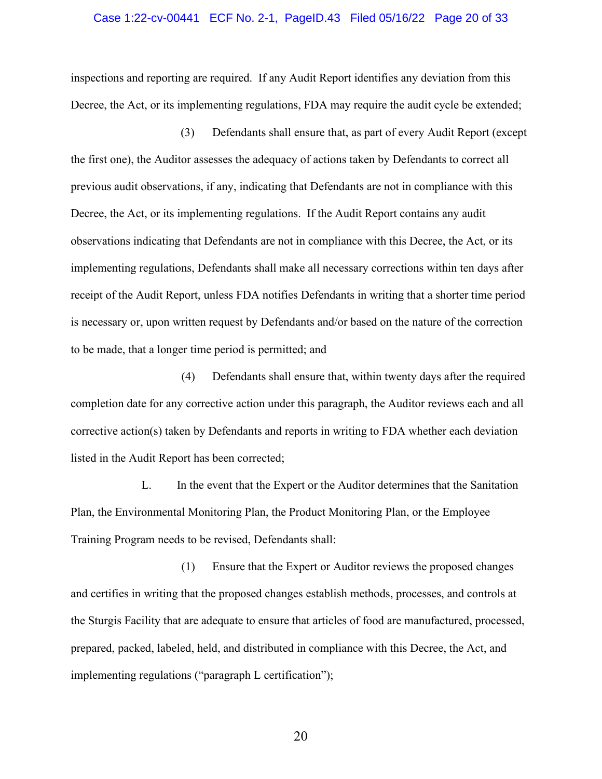### Case 1:22-cv-00441 ECF No. 2-1, PageID.43 Filed 05/16/22 Page 20 of 33

inspections and reporting are required. If any Audit Report identifies any deviation from this Decree, the Act, or its implementing regulations, FDA may require the audit cycle be extended;

(3) Defendants shall ensure that, as part of every Audit Report (except the first one), the Auditor assesses the adequacy of actions taken by Defendants to correct all previous audit observations, if any, indicating that Defendants are not in compliance with this Decree, the Act, or its implementing regulations. If the Audit Report contains any audit observations indicating that Defendants are not in compliance with this Decree, the Act, or its implementing regulations, Defendants shall make all necessary corrections within ten days after receipt of the Audit Report, unless FDA notifies Defendants in writing that a shorter time period is necessary or, upon written request by Defendants and/or based on the nature of the correction to be made, that a longer time period is permitted; and

(4) Defendants shall ensure that, within twenty days after the required completion date for any corrective action under this paragraph, the Auditor reviews each and all corrective action(s) taken by Defendants and reports in writing to FDA whether each deviation listed in the Audit Report has been corrected;

L. In the event that the Expert or the Auditor determines that the Sanitation Plan, the Environmental Monitoring Plan, the Product Monitoring Plan, or the Employee Training Program needs to be revised, Defendants shall:

(1) Ensure that the Expert or Auditor reviews the proposed changes and certifies in writing that the proposed changes establish methods, processes, and controls at the Sturgis Facility that are adequate to ensure that articles of food are manufactured, processed, prepared, packed, labeled, held, and distributed in compliance with this Decree, the Act, and implementing regulations ("paragraph L certification");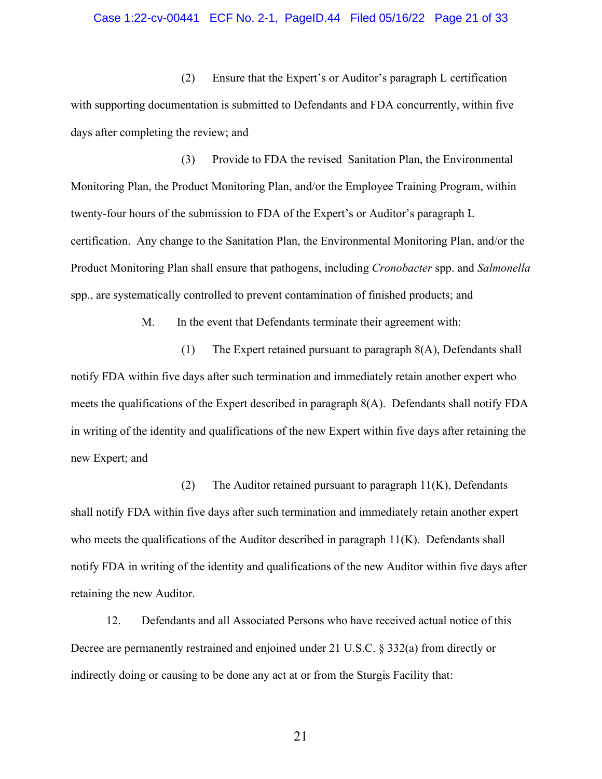### Case 1:22-cv-00441 ECF No. 2-1, PageID.44 Filed 05/16/22 Page 21 of 33

(2) Ensure that the Expert's or Auditor's paragraph L certification with supporting documentation is submitted to Defendants and FDA concurrently, within five days after completing the review; and

(3) Provide to FDA the revised Sanitation Plan, the Environmental Monitoring Plan, the Product Monitoring Plan, and/or the Employee Training Program, within twenty-four hours of the submission to FDA of the Expert's or Auditor's paragraph L certification. Any change to the Sanitation Plan, the Environmental Monitoring Plan, and/or the Product Monitoring Plan shall ensure that pathogens, including *Cronobacter* spp. and *Salmonella* spp., are systematically controlled to prevent contamination of finished products; and

M. In the event that Defendants terminate their agreement with:

(1) The Expert retained pursuant to paragraph 8(A), Defendants shall notify FDA within five days after such termination and immediately retain another expert who meets the qualifications of the Expert described in paragraph 8(A). Defendants shall notify FDA in writing of the identity and qualifications of the new Expert within five days after retaining the new Expert; and

(2) The Auditor retained pursuant to paragraph  $11(K)$ , Defendants shall notify FDA within five days after such termination and immediately retain another expert who meets the qualifications of the Auditor described in paragraph 11(K). Defendants shall notify FDA in writing of the identity and qualifications of the new Auditor within five days after retaining the new Auditor.

12. Defendants and all Associated Persons who have received actual notice of this Decree are permanently restrained and enjoined under 21 U.S.C. § 332(a) from directly or indirectly doing or causing to be done any act at or from the Sturgis Facility that: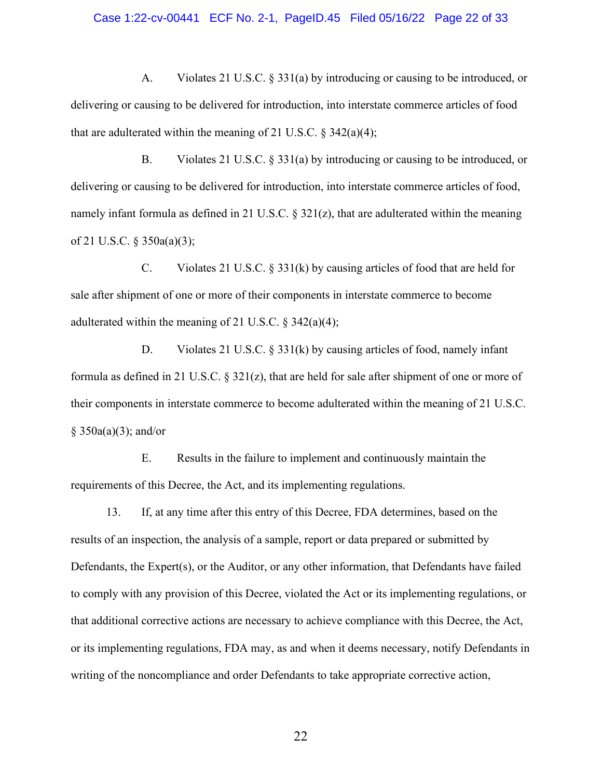#### Case 1:22-cv-00441 ECF No. 2-1, PageID.45 Filed 05/16/22 Page 22 of 33

A. Violates 21 U.S.C. § 331(a) by introducing or causing to be introduced, or delivering or causing to be delivered for introduction, into interstate commerce articles of food that are adulterated within the meaning of 21 U.S.C.  $\S$  342(a)(4);

B. Violates 21 U.S.C. § 331(a) by introducing or causing to be introduced, or delivering or causing to be delivered for introduction, into interstate commerce articles of food, namely infant formula as defined in 21 U.S.C.  $\S 321(z)$ , that are adulterated within the meaning of 21 U.S.C. § 350a(a)(3);

C. Violates 21 U.S.C. § 331(k) by causing articles of food that are held for sale after shipment of one or more of their components in interstate commerce to become adulterated within the meaning of 21 U.S.C.  $\S$  342(a)(4);

D. Violates 21 U.S.C. § 331(k) by causing articles of food, namely infant formula as defined in 21 U.S.C.  $\S$  321(z), that are held for sale after shipment of one or more of their components in interstate commerce to become adulterated within the meaning of 21 U.S.C. § 350a(a)(3); and/or

E. Results in the failure to implement and continuously maintain the requirements of this Decree, the Act, and its implementing regulations.

13. If, at any time after this entry of this Decree, FDA determines, based on the results of an inspection, the analysis of a sample, report or data prepared or submitted by Defendants, the Expert(s), or the Auditor, or any other information, that Defendants have failed to comply with any provision of this Decree, violated the Act or its implementing regulations, or that additional corrective actions are necessary to achieve compliance with this Decree, the Act, or its implementing regulations, FDA may, as and when it deems necessary, notify Defendants in writing of the noncompliance and order Defendants to take appropriate corrective action,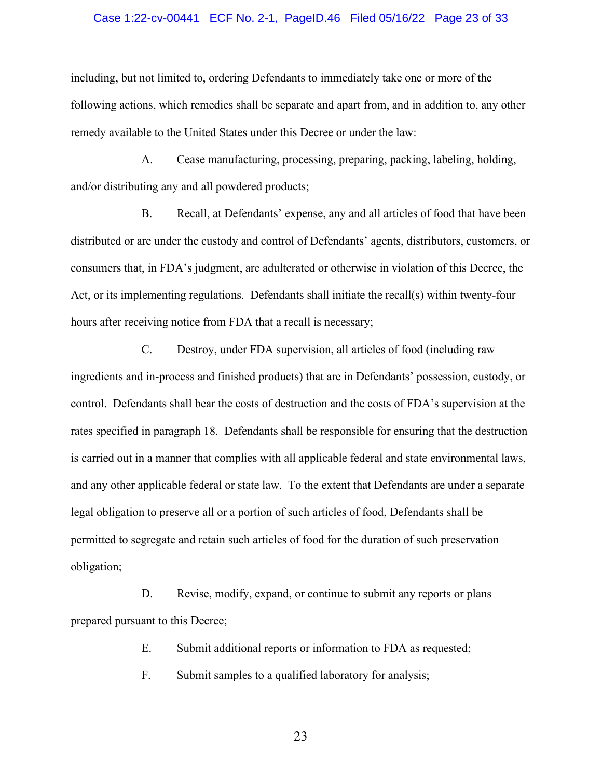### Case 1:22-cv-00441 ECF No. 2-1, PageID.46 Filed 05/16/22 Page 23 of 33

including, but not limited to, ordering Defendants to immediately take one or more of the following actions, which remedies shall be separate and apart from, and in addition to, any other remedy available to the United States under this Decree or under the law:

A. Cease manufacturing, processing, preparing, packing, labeling, holding, and/or distributing any and all powdered products;

B. Recall, at Defendants' expense, any and all articles of food that have been distributed or are under the custody and control of Defendants' agents, distributors, customers, or consumers that, in FDA's judgment, are adulterated or otherwise in violation of this Decree, the Act, or its implementing regulations. Defendants shall initiate the recall(s) within twenty-four hours after receiving notice from FDA that a recall is necessary;

C. Destroy, under FDA supervision, all articles of food (including raw ingredients and in-process and finished products) that are in Defendants' possession, custody, or control. Defendants shall bear the costs of destruction and the costs of FDA's supervision at the rates specified in paragraph 18. Defendants shall be responsible for ensuring that the destruction is carried out in a manner that complies with all applicable federal and state environmental laws, and any other applicable federal or state law. To the extent that Defendants are under a separate legal obligation to preserve all or a portion of such articles of food, Defendants shall be permitted to segregate and retain such articles of food for the duration of such preservation obligation;

D. Revise, modify, expand, or continue to submit any reports or plans prepared pursuant to this Decree;

E. Submit additional reports or information to FDA as requested;

F. Submit samples to a qualified laboratory for analysis;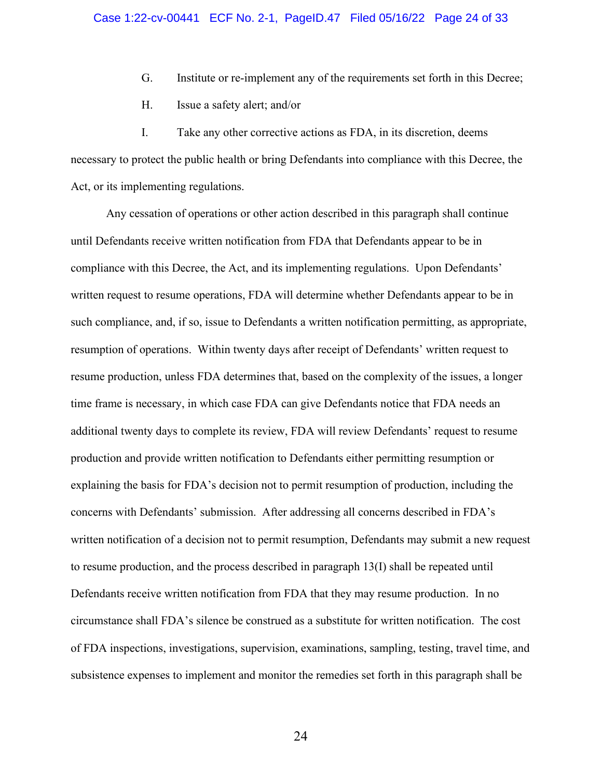- G. Institute or re-implement any of the requirements set forth in this Decree;
- H. Issue a safety alert; and/or

I. Take any other corrective actions as FDA, in its discretion, deems necessary to protect the public health or bring Defendants into compliance with this Decree, the Act, or its implementing regulations.

Any cessation of operations or other action described in this paragraph shall continue until Defendants receive written notification from FDA that Defendants appear to be in compliance with this Decree, the Act, and its implementing regulations. Upon Defendants' written request to resume operations, FDA will determine whether Defendants appear to be in such compliance, and, if so, issue to Defendants a written notification permitting, as appropriate, resumption of operations. Within twenty days after receipt of Defendants' written request to resume production, unless FDA determines that, based on the complexity of the issues, a longer time frame is necessary, in which case FDA can give Defendants notice that FDA needs an additional twenty days to complete its review, FDA will review Defendants' request to resume production and provide written notification to Defendants either permitting resumption or explaining the basis for FDA's decision not to permit resumption of production, including the concerns with Defendants' submission. After addressing all concerns described in FDA's written notification of a decision not to permit resumption, Defendants may submit a new request to resume production, and the process described in paragraph 13(I) shall be repeated until Defendants receive written notification from FDA that they may resume production. In no circumstance shall FDA's silence be construed as a substitute for written notification. The cost of FDA inspections, investigations, supervision, examinations, sampling, testing, travel time, and subsistence expenses to implement and monitor the remedies set forth in this paragraph shall be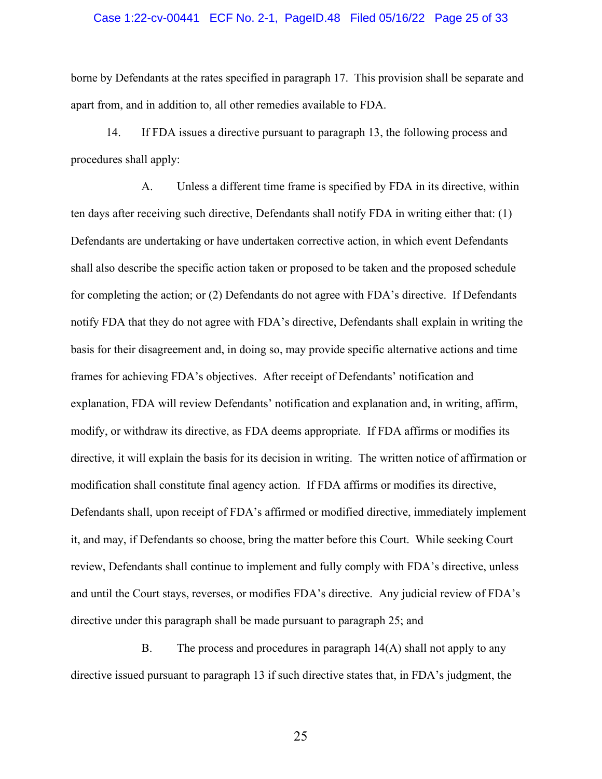### Case 1:22-cv-00441 ECF No. 2-1, PageID.48 Filed 05/16/22 Page 25 of 33

borne by Defendants at the rates specified in paragraph 17. This provision shall be separate and apart from, and in addition to, all other remedies available to FDA.

14. If FDA issues a directive pursuant to paragraph 13, the following process and procedures shall apply:

A. Unless a different time frame is specified by FDA in its directive, within ten days after receiving such directive, Defendants shall notify FDA in writing either that: (1) Defendants are undertaking or have undertaken corrective action, in which event Defendants shall also describe the specific action taken or proposed to be taken and the proposed schedule for completing the action; or (2) Defendants do not agree with FDA's directive. If Defendants notify FDA that they do not agree with FDA's directive, Defendants shall explain in writing the basis for their disagreement and, in doing so, may provide specific alternative actions and time frames for achieving FDA's objectives. After receipt of Defendants' notification and explanation, FDA will review Defendants' notification and explanation and, in writing, affirm, modify, or withdraw its directive, as FDA deems appropriate. If FDA affirms or modifies its directive, it will explain the basis for its decision in writing. The written notice of affirmation or modification shall constitute final agency action. If FDA affirms or modifies its directive, Defendants shall, upon receipt of FDA's affirmed or modified directive, immediately implement it, and may, if Defendants so choose, bring the matter before this Court. While seeking Court review, Defendants shall continue to implement and fully comply with FDA's directive, unless and until the Court stays, reverses, or modifies FDA's directive. Any judicial review of FDA's directive under this paragraph shall be made pursuant to paragraph 25; and

B. The process and procedures in paragraph 14(A) shall not apply to any directive issued pursuant to paragraph 13 if such directive states that, in FDA's judgment, the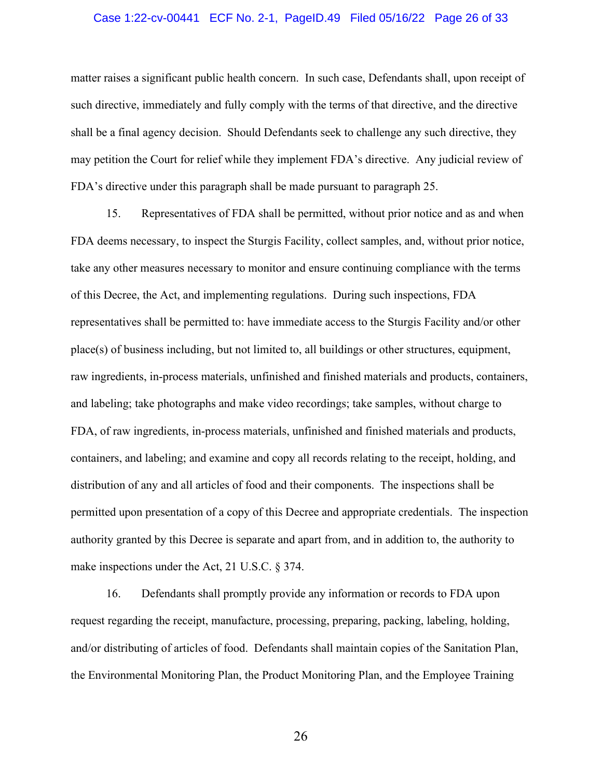### Case 1:22-cv-00441 ECF No. 2-1, PageID.49 Filed 05/16/22 Page 26 of 33

matter raises a significant public health concern. In such case, Defendants shall, upon receipt of such directive, immediately and fully comply with the terms of that directive, and the directive shall be a final agency decision. Should Defendants seek to challenge any such directive, they may petition the Court for relief while they implement FDA's directive. Any judicial review of FDA's directive under this paragraph shall be made pursuant to paragraph 25.

15. Representatives of FDA shall be permitted, without prior notice and as and when FDA deems necessary, to inspect the Sturgis Facility, collect samples, and, without prior notice, take any other measures necessary to monitor and ensure continuing compliance with the terms of this Decree, the Act, and implementing regulations. During such inspections, FDA representatives shall be permitted to: have immediate access to the Sturgis Facility and/or other place(s) of business including, but not limited to, all buildings or other structures, equipment, raw ingredients, in-process materials, unfinished and finished materials and products, containers, and labeling; take photographs and make video recordings; take samples, without charge to FDA, of raw ingredients, in-process materials, unfinished and finished materials and products, containers, and labeling; and examine and copy all records relating to the receipt, holding, and distribution of any and all articles of food and their components. The inspections shall be permitted upon presentation of a copy of this Decree and appropriate credentials. The inspection authority granted by this Decree is separate and apart from, and in addition to, the authority to make inspections under the Act, 21 U.S.C. § 374.

16. Defendants shall promptly provide any information or records to FDA upon request regarding the receipt, manufacture, processing, preparing, packing, labeling, holding, and/or distributing of articles of food. Defendants shall maintain copies of the Sanitation Plan, the Environmental Monitoring Plan, the Product Monitoring Plan, and the Employee Training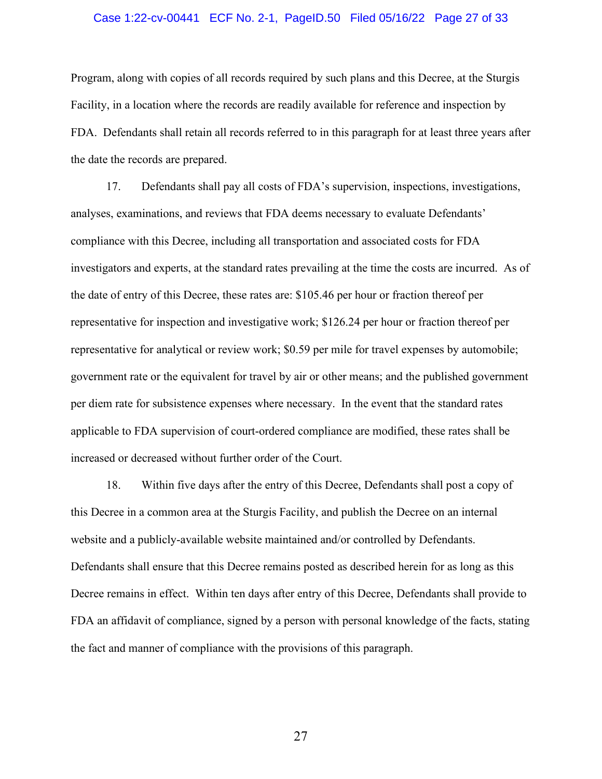### Case 1:22-cv-00441 ECF No. 2-1, PageID.50 Filed 05/16/22 Page 27 of 33

Program, along with copies of all records required by such plans and this Decree, at the Sturgis Facility, in a location where the records are readily available for reference and inspection by FDA. Defendants shall retain all records referred to in this paragraph for at least three years after the date the records are prepared.

17. Defendants shall pay all costs of FDA's supervision, inspections, investigations, analyses, examinations, and reviews that FDA deems necessary to evaluate Defendants' compliance with this Decree, including all transportation and associated costs for FDA investigators and experts, at the standard rates prevailing at the time the costs are incurred. As of the date of entry of this Decree, these rates are: \$105.46 per hour or fraction thereof per representative for inspection and investigative work; \$126.24 per hour or fraction thereof per representative for analytical or review work; \$0.59 per mile for travel expenses by automobile; government rate or the equivalent for travel by air or other means; and the published government per diem rate for subsistence expenses where necessary. In the event that the standard rates applicable to FDA supervision of court-ordered compliance are modified, these rates shall be increased or decreased without further order of the Court.

18. Within five days after the entry of this Decree, Defendants shall post a copy of this Decree in a common area at the Sturgis Facility, and publish the Decree on an internal website and a publicly-available website maintained and/or controlled by Defendants. Defendants shall ensure that this Decree remains posted as described herein for as long as this Decree remains in effect. Within ten days after entry of this Decree, Defendants shall provide to FDA an affidavit of compliance, signed by a person with personal knowledge of the facts, stating the fact and manner of compliance with the provisions of this paragraph.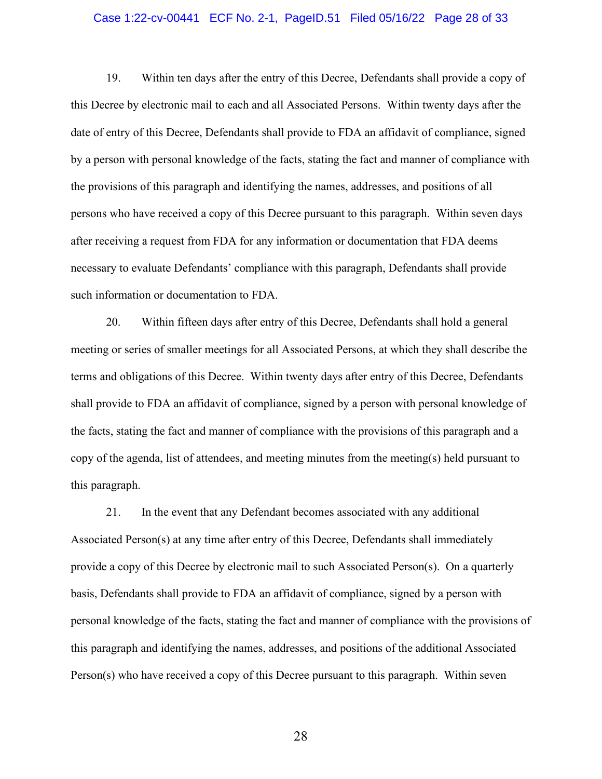#### Case 1:22-cv-00441 ECF No. 2-1, PageID.51 Filed 05/16/22 Page 28 of 33

19. Within ten days after the entry of this Decree, Defendants shall provide a copy of this Decree by electronic mail to each and all Associated Persons. Within twenty days after the date of entry of this Decree, Defendants shall provide to FDA an affidavit of compliance, signed by a person with personal knowledge of the facts, stating the fact and manner of compliance with the provisions of this paragraph and identifying the names, addresses, and positions of all persons who have received a copy of this Decree pursuant to this paragraph. Within seven days after receiving a request from FDA for any information or documentation that FDA deems necessary to evaluate Defendants' compliance with this paragraph, Defendants shall provide such information or documentation to FDA.

20. Within fifteen days after entry of this Decree, Defendants shall hold a general meeting or series of smaller meetings for all Associated Persons, at which they shall describe the terms and obligations of this Decree. Within twenty days after entry of this Decree, Defendants shall provide to FDA an affidavit of compliance, signed by a person with personal knowledge of the facts, stating the fact and manner of compliance with the provisions of this paragraph and a copy of the agenda, list of attendees, and meeting minutes from the meeting(s) held pursuant to this paragraph.

21. In the event that any Defendant becomes associated with any additional Associated Person(s) at any time after entry of this Decree, Defendants shall immediately provide a copy of this Decree by electronic mail to such Associated Person(s). On a quarterly basis, Defendants shall provide to FDA an affidavit of compliance, signed by a person with personal knowledge of the facts, stating the fact and manner of compliance with the provisions of this paragraph and identifying the names, addresses, and positions of the additional Associated Person(s) who have received a copy of this Decree pursuant to this paragraph. Within seven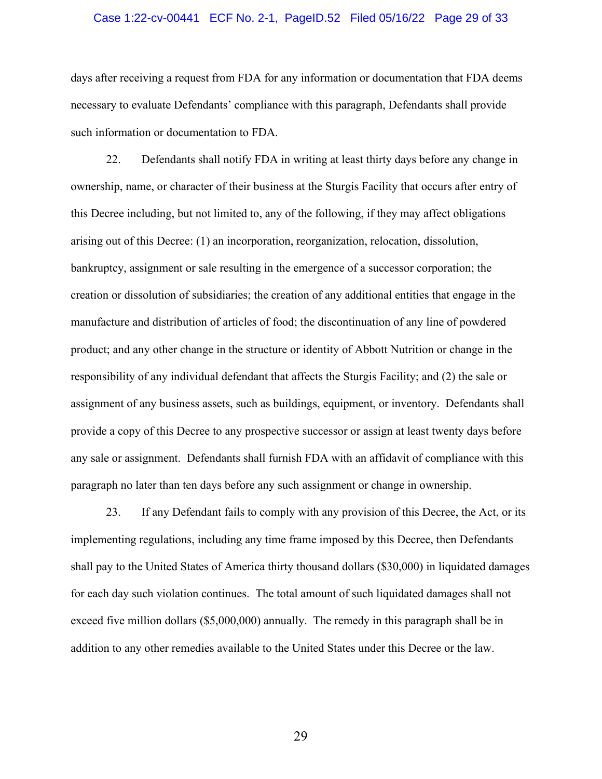### Case 1:22-cv-00441 ECF No. 2-1, PageID.52 Filed 05/16/22 Page 29 of 33

days after receiving a request from FDA for any information or documentation that FDA deems necessary to evaluate Defendants' compliance with this paragraph, Defendants shall provide such information or documentation to FDA.

22. Defendants shall notify FDA in writing at least thirty days before any change in ownership, name, or character of their business at the Sturgis Facility that occurs after entry of this Decree including, but not limited to, any of the following, if they may affect obligations arising out of this Decree: (1) an incorporation, reorganization, relocation, dissolution, bankruptcy, assignment or sale resulting in the emergence of a successor corporation; the creation or dissolution of subsidiaries; the creation of any additional entities that engage in the manufacture and distribution of articles of food; the discontinuation of any line of powdered product; and any other change in the structure or identity of Abbott Nutrition or change in the responsibility of any individual defendant that affects the Sturgis Facility; and (2) the sale or assignment of any business assets, such as buildings, equipment, or inventory. Defendants shall provide a copy of this Decree to any prospective successor or assign at least twenty days before any sale or assignment. Defendants shall furnish FDA with an affidavit of compliance with this paragraph no later than ten days before any such assignment or change in ownership.

23. If any Defendant fails to comply with any provision of this Decree, the Act, or its implementing regulations, including any time frame imposed by this Decree, then Defendants shall pay to the United States of America thirty thousand dollars (\$30,000) in liquidated damages for each day such violation continues. The total amount of such liquidated damages shall not exceed five million dollars (\$5,000,000) annually. The remedy in this paragraph shall be in addition to any other remedies available to the United States under this Decree or the law.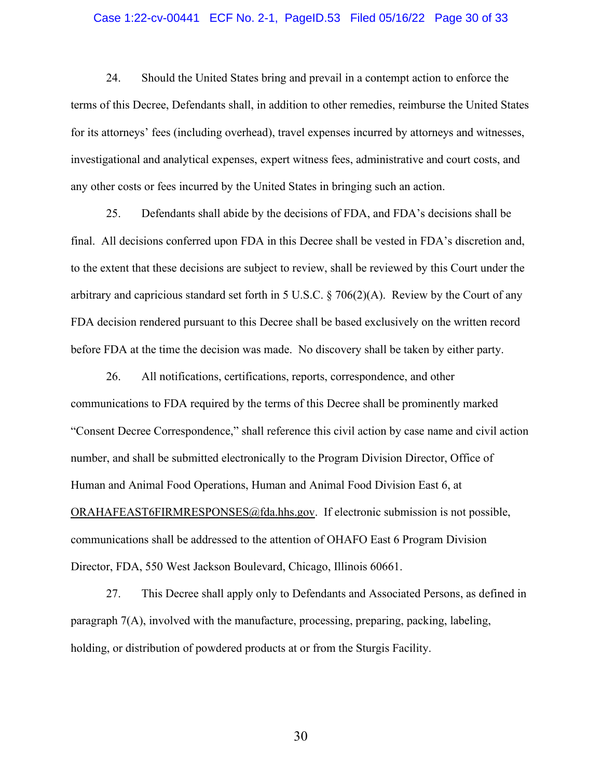#### Case 1:22-cv-00441 ECF No. 2-1, PageID.53 Filed 05/16/22 Page 30 of 33

24. Should the United States bring and prevail in a contempt action to enforce the terms of this Decree, Defendants shall, in addition to other remedies, reimburse the United States for its attorneys' fees (including overhead), travel expenses incurred by attorneys and witnesses, investigational and analytical expenses, expert witness fees, administrative and court costs, and any other costs or fees incurred by the United States in bringing such an action.

25. Defendants shall abide by the decisions of FDA, and FDA's decisions shall be final. All decisions conferred upon FDA in this Decree shall be vested in FDA's discretion and, to the extent that these decisions are subject to review, shall be reviewed by this Court under the arbitrary and capricious standard set forth in 5 U.S.C. § 706(2)(A). Review by the Court of any FDA decision rendered pursuant to this Decree shall be based exclusively on the written record before FDA at the time the decision was made. No discovery shall be taken by either party.

26. All notifications, certifications, reports, correspondence, and other communications to FDA required by the terms of this Decree shall be prominently marked "Consent Decree Correspondence," shall reference this civil action by case name and civil action number, and shall be submitted electronically to the Program Division Director, Office of Human and Animal Food Operations, Human and Animal Food Division East 6, at [ORAHAFEAST6FIRMRESPONSES@fda.hhs.gov.](mailto:ORAHAFEAST6FIRMRESPONSES@fda.hhs.gov) If electronic submission is not possible, communications shall be addressed to the attention of OHAFO East 6 Program Division Director, FDA, 550 West Jackson Boulevard, Chicago, Illinois 60661.

27. This Decree shall apply only to Defendants and Associated Persons, as defined in paragraph 7(A), involved with the manufacture, processing, preparing, packing, labeling, holding, or distribution of powdered products at or from the Sturgis Facility.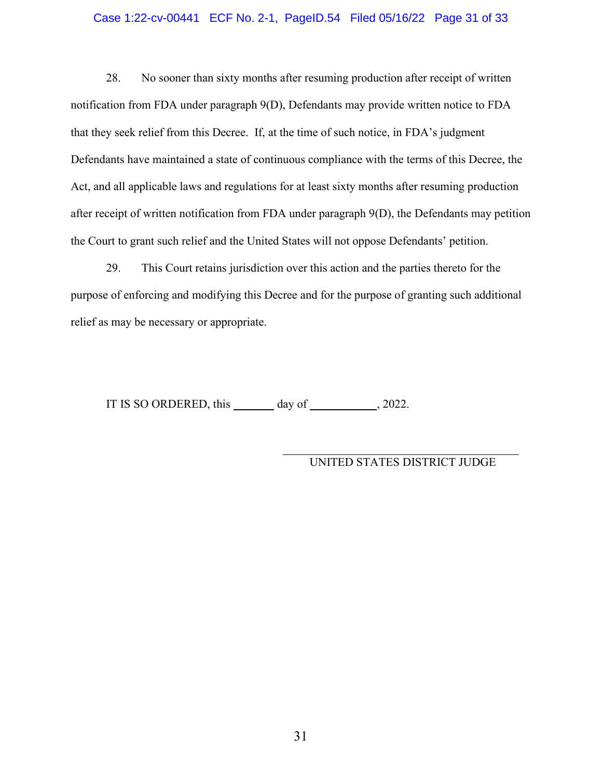### Case 1:22-cv-00441 ECF No. 2-1, PageID.54 Filed 05/16/22 Page 31 of 33

28. No sooner than sixty months after resuming production after receipt of written notification from FDA under paragraph 9(D), Defendants may provide written notice to FDA that they seek relief from this Decree. If, at the time of such notice, in FDA's judgment Defendants have maintained a state of continuous compliance with the terms of this Decree, the Act, and all applicable laws and regulations for at least sixty months after resuming production after receipt of written notification from FDA under paragraph 9(D), the Defendants may petition the Court to grant such relief and the United States will not oppose Defendants' petition.

29. This Court retains jurisdiction over this action and the parties thereto for the purpose of enforcing and modifying this Decree and for the purpose of granting such additional relief as may be necessary or appropriate.

IT IS SO ORDERED, this  $\_\_\_\_\$  day of  $\_\_\_\_\_\$ , 2022.

UNITED STATES DISTRICT JUDGE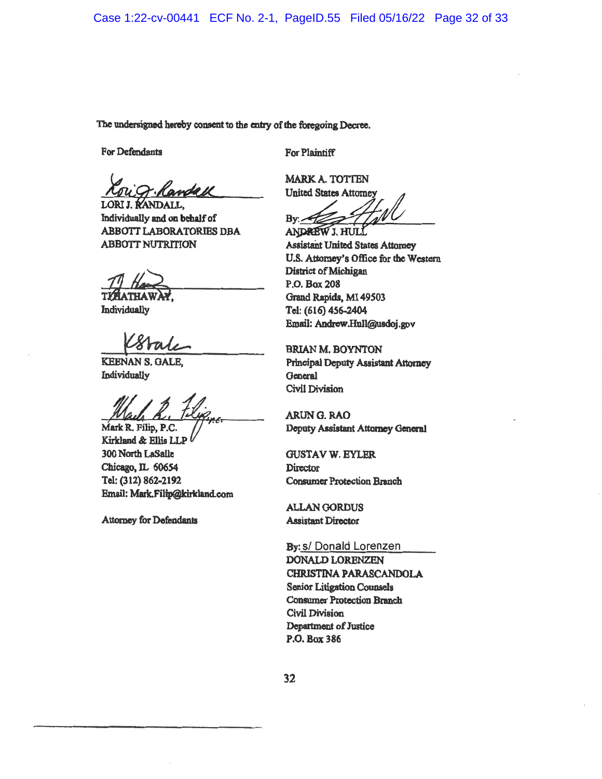The undersigned hereby consent to the entry of the foregoing Decree.

**For Defendants** 

For Plaintiff

LORI J. RANDALL. Individually and on behalf of **ABBOTT LABORATORIES DBA ABBOTT NUTRITION** 

Individually

**KEENAN S. GALE.** Individually

Mark R. Filip, P.C. Kirkland & Ellis LLP 300 North LaSaile Chicago, IL 60654 Tel: (312) 862-2192 Email: Mark.Filip@kirkland.com

**Attorney for Defendants** 

**MARK A. TOTTEN United States Attorney**  $Bv = 7$ 

ANDREW J. HULL **Assistant United States Attorney** U.S. Attorney's Office for the Western **District of Michigan** P.O. Box 208 Grand Rapids, MI 49503 Tel: (616) 456-2404 Email: Andrew.Hull@usdoj.gov

**BRIAN M. BOYNTON Principal Deputy Assistant Attorney** General **Civil Division** 

ARUNG. RAO Deputy Assistant Attorney General

**GUSTAV W. EYLER Director Consumer Protection Branch** 

**ALLAN GORDUS Assistant Director** 

By: s/ Donald Lorenzen DONALD LORENZEN CHRISTINA PARASCANDOLA **Senior Litigation Counsels Consumer Protection Branch** Civil Division Department of Justice P.O. Box 386